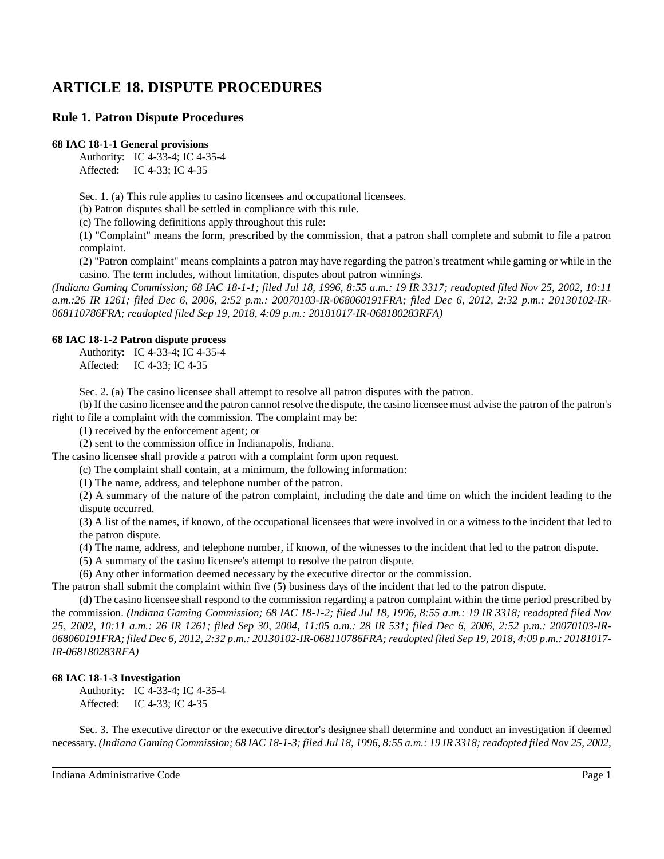# **ARTICLE 18. DISPUTE PROCEDURES**

## **Rule 1. Patron Dispute Procedures**

#### **68 IAC 18-1-1 General provisions**

Authority: IC 4-33-4; IC 4-35-4 Affected: IC 4-33; IC 4-35

Sec. 1. (a) This rule applies to casino licensees and occupational licensees.

(b) Patron disputes shall be settled in compliance with this rule.

(c) The following definitions apply throughout this rule:

(1) "Complaint" means the form, prescribed by the commission, that a patron shall complete and submit to file a patron complaint.

(2) "Patron complaint" means complaints a patron may have regarding the patron's treatment while gaming or while in the casino. The term includes, without limitation, disputes about patron winnings.

*(Indiana Gaming Commission; 68 IAC 18-1-1; filed Jul 18, 1996, 8:55 a.m.: 19 IR 3317; readopted filed Nov 25, 2002, 10:11* a.m.:26 IR 1261; filed Dec 6, 2006, 2:52 p.m.: 20070103-IR-068060191FRA; filed Dec 6, 2012, 2:32 p.m.: 20130102-IR-*068110786FRA; readopted filed Sep 19, 2018, 4:09 p.m.: 20181017-IR-068180283RFA)*

#### **68 IAC 18-1-2 Patron dispute process**

Authority: IC 4-33-4; IC 4-35-4 Affected: IC 4-33; IC 4-35

Sec. 2. (a) The casino licensee shall attempt to resolve all patron disputes with the patron.

(b) If the casino licensee and the patron cannot resolve the dispute, the casino licensee must advise the patron of the patron's right to file a complaint with the commission. The complaint may be:

(1) received by the enforcement agent; or

(2) sent to the commission office in Indianapolis, Indiana.

The casino licensee shall provide a patron with a complaint form upon request.

(c) The complaint shall contain, at a minimum, the following information:

(1) The name, address, and telephone number of the patron.

(2) A summary of the nature of the patron complaint, including the date and time on which the incident leading to the dispute occurred.

(3) A list of the names, if known, of the occupational licensees that were involved in or a witness to the incident that led to the patron dispute.

(4) The name, address, and telephone number, if known, of the witnesses to the incident that led to the patron dispute.

(5) A summary of the casino licensee's attempt to resolve the patron dispute.

(6) Any other information deemed necessary by the executive director or the commission.

The patron shall submit the complaint within five (5) business days of the incident that led to the patron dispute.

(d) The casino licensee shall respond to the commission regarding a patron complaint within the time period prescribed by the commission. *(Indiana Gaming Commission; 68 IAC 18-1-2; filed Jul 18, 1996, 8:55 a.m.: 19 IR 3318; readopted filed Nov 25, 2002, 10:11 a.m.: 26 IR 1261; filed Sep 30, 2004, 11:05 a.m.: 28 IR 531; filed Dec 6, 2006, 2:52 p.m.: 20070103-IR-*068060191FRA; filed Dec 6, 2012, 2:32 p.m.: 20130102-IR-068110786FRA; readopted filed Sep 19, 2018, 4:09 p.m.: 20181017-*IR-068180283RFA)*

#### **68 IAC 18-1-3 Investigation**

Authority: IC 4-33-4; IC 4-35-4 Affected: IC 4-33; IC 4-35

Sec. 3. The executive director or the executive director's designee shall determine and conduct an investigation if deemed necessary. (Indiana Gaming Commission; 68 IAC 18-1-3; filed Jul 18, 1996, 8:55 a.m.: 19 IR 3318; readopted filed Nov 25, 2002,